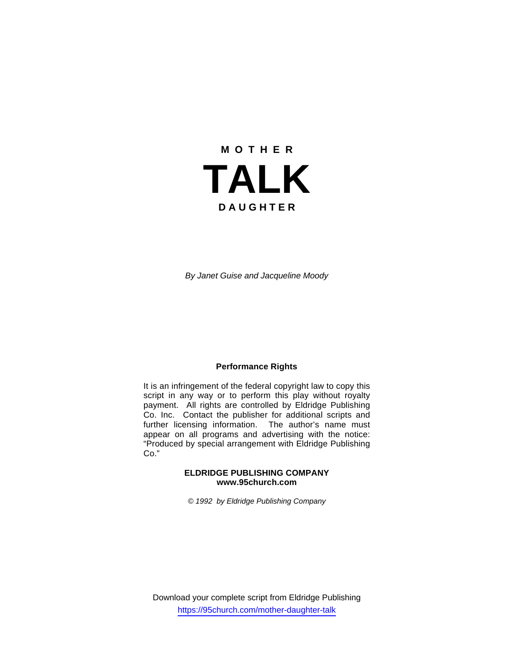# **M O T H E R TALK D A U G H T E R**

*By Janet Guise and Jacqueline Moody*

#### **Performance Rights**

It is an infringement of the federal copyright law to copy this script in any way or to perform this play without royalty payment. All rights are controlled by Eldridge Publishing Co. Inc. Contact the publisher for additional scripts and further licensing information. The author's name must appear on all programs and advertising with the notice: "Produced by special arrangement with Eldridge Publishing Co."

#### **ELDRIDGE PUBLISHING COMPANY www.95church.com**

*© 1992 by Eldridge Publishing Company* 

Download your complete script from Eldridge Publishing https://95church.com/mother-daughter-talk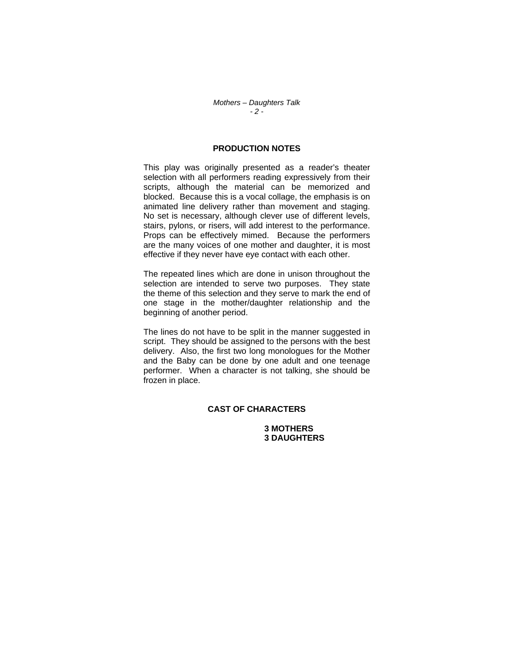### **PRODUCTION NOTES**

This play was originally presented as a reader's theater selection with all performers reading expressively from their scripts, although the material can be memorized and blocked. Because this is a vocal collage, the emphasis is on animated line delivery rather than movement and staging. No set is necessary, although clever use of different levels, stairs, pylons, or risers, will add interest to the performance. Props can be effectively mimed. Because the performers are the many voices of one mother and daughter, it is most effective if they never have eye contact with each other.

The repeated lines which are done in unison throughout the selection are intended to serve two purposes. They state the theme of this selection and they serve to mark the end of one stage in the mother/daughter relationship and the beginning of another period.

The lines do not have to be split in the manner suggested in script. They should be assigned to the persons with the best delivery. Also, the first two long monologues for the Mother and the Baby can be done by one adult and one teenage performer. When a character is not talking, she should be frozen in place.

## **CAST OF CHARACTERS**

 **3 MOTHERS 3 DAUGHTERS**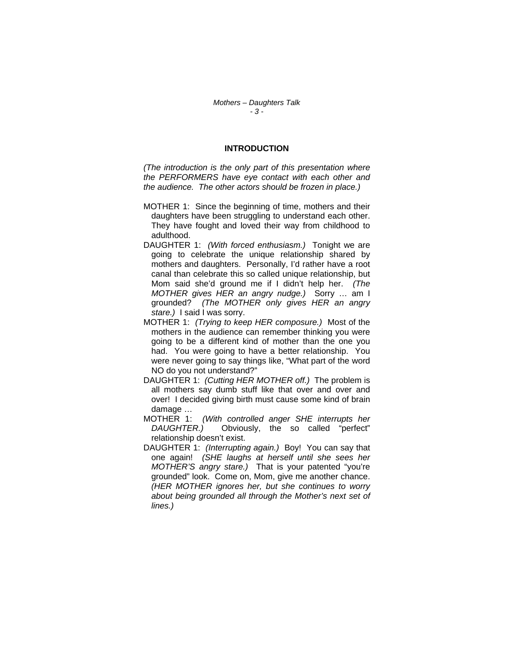#### **INTRODUCTION**

*(The introduction is the only part of this presentation where the PERFORMERS have eye contact with each other and the audience. The other actors should be frozen in place.)* 

- MOTHER 1: Since the beginning of time, mothers and their daughters have been struggling to understand each other. They have fought and loved their way from childhood to adulthood.
- DAUGHTER 1: *(With forced enthusiasm.)* Tonight we are going to celebrate the unique relationship shared by mothers and daughters. Personally, I'd rather have a root canal than celebrate this so called unique relationship, but Mom said she'd ground me if I didn't help her. *(The MOTHER gives HER an angry nudge.)* Sorry … am I grounded? *(The MOTHER only gives HER an angry stare.)* I said I was sorry.
- MOTHER 1: *(Trying to keep HER composure.)* Most of the mothers in the audience can remember thinking you were going to be a different kind of mother than the one you had. You were going to have a better relationship. You were never going to say things like, "What part of the word NO do you not understand?"
- DAUGHTER 1: *(Cutting HER MOTHER off.)* The problem is all mothers say dumb stuff like that over and over and over! I decided giving birth must cause some kind of brain damage …
- MOTHER 1: *(With controlled anger SHE interrupts her DAUGHTER.)* Obviously, the so called "perfect" relationship doesn't exist.
- DAUGHTER 1: *(Interrupting again.)* Boy! You can say that one again! *(SHE laughs at herself until she sees her MOTHER'S angry stare.)* That is your patented "you're grounded" look. Come on, Mom, give me another chance. *(HER MOTHER ignores her, but she continues to worry about being grounded all through the Mother's next set of lines.)*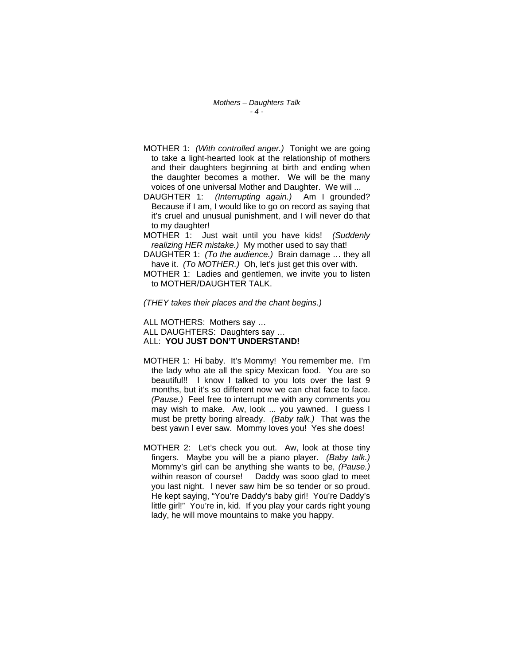- MOTHER 1: *(With controlled anger.)* Tonight we are going to take a light-hearted look at the relationship of mothers and their daughters beginning at birth and ending when the daughter becomes a mother. We will be the many voices of one universal Mother and Daughter. We will ...
- DAUGHTER 1: *(Interrupting again.)* Am I grounded? Because if I am, I would like to go on record as saying that it's cruel and unusual punishment, and I will never do that to my daughter!
- MOTHER 1: Just wait until you have kids! *(Suddenly realizing HER mistake.)* My mother used to say that!
- DAUGHTER 1: *(To the audience.)* Brain damage … they all have it. *(To MOTHER.)* Oh, let's just get this over with.
- MOTHER 1: Ladies and gentlemen, we invite you to listen to MOTHER/DAUGHTER TALK.

#### *(THEY takes their places and the chant begins.)*

ALL MOTHERS: Mothers say … ALL DAUGHTERS: Daughters say … ALL: **YOU JUST DON'T UNDERSTAND!**

- MOTHER 1: Hi baby. It's Mommy! You remember me. I'm the lady who ate all the spicy Mexican food. You are so beautiful!! I know I talked to you lots over the last 9 months, but it's so different now we can chat face to face. *(Pause.)* Feel free to interrupt me with any comments you may wish to make. Aw, look ... you yawned. I guess I must be pretty boring already. *(Baby talk.)* That was the best yawn I ever saw. Mommy loves you! Yes she does!
- MOTHER 2: Let's check you out. Aw, look at those tiny fingers. Maybe you will be a piano player. *(Baby talk.)* Mommy's girl can be anything she wants to be, *(Pause.)* within reason of course! Daddy was sooo glad to meet you last night. I never saw him be so tender or so proud. He kept saying, "You're Daddy's baby girl! You're Daddy's little girl!" You're in, kid. If you play your cards right young lady, he will move mountains to make you happy.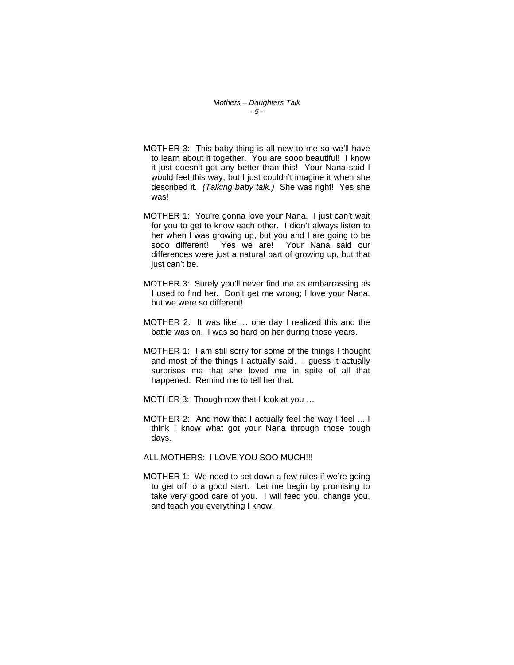*Mothers – Daughters Talk - 5 -*

- MOTHER 3: This baby thing is all new to me so we'll have to learn about it together. You are sooo beautiful! I know it just doesn't get any better than this! Your Nana said I would feel this way, but I just couldn't imagine it when she described it. *(Talking baby talk.)* She was right! Yes she was!
- MOTHER 1: You're gonna love your Nana. I just can't wait for you to get to know each other. I didn't always listen to her when I was growing up, but you and I are going to be sooo different! Yes we are! Your Nana said our differences were just a natural part of growing up, but that just can't be.
- MOTHER 3: Surely you'll never find me as embarrassing as I used to find her. Don't get me wrong; I love your Nana, but we were so different!
- MOTHER 2: It was like … one day I realized this and the battle was on. I was so hard on her during those years.
- MOTHER 1: I am still sorry for some of the things I thought and most of the things I actually said. I guess it actually surprises me that she loved me in spite of all that happened. Remind me to tell her that.
- MOTHER 3: Though now that I look at you ...
- MOTHER 2: And now that I actually feel the way I feel ... I think I know what got your Nana through those tough days.
- ALL MOTHERS: I LOVE YOU SOO MUCH!!!
- MOTHER 1: We need to set down a few rules if we're going to get off to a good start. Let me begin by promising to take very good care of you. I will feed you, change you, and teach you everything I know.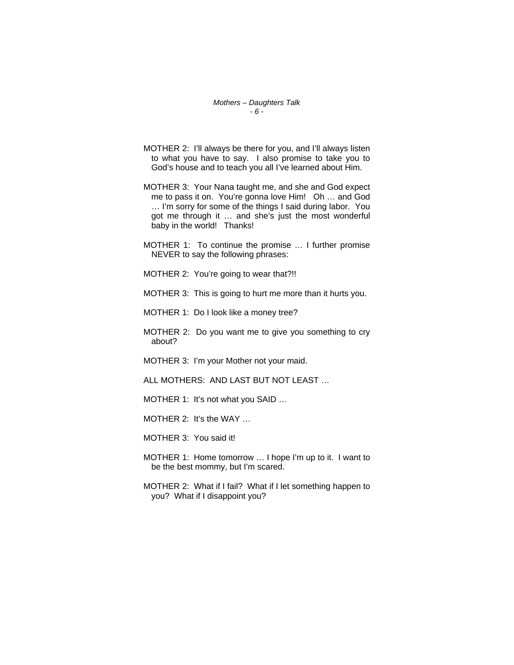- MOTHER 2: I'll always be there for you, and I'll always listen to what you have to say. I also promise to take you to God's house and to teach you all I've learned about Him.
- MOTHER 3: Your Nana taught me, and she and God expect me to pass it on. You're gonna love Him! Oh … and God … I'm sorry for some of the things I said during labor. You got me through it … and she's just the most wonderful baby in the world! Thanks!
- MOTHER 1: To continue the promise … I further promise NEVER to say the following phrases:
- MOTHER 2: You're going to wear that?!!
- MOTHER 3: This is going to hurt me more than it hurts you.
- MOTHER 1: Do I look like a money tree?
- MOTHER 2: Do you want me to give you something to cry about?
- MOTHER 3: I'm your Mother not your maid.
- ALL MOTHERS: AND LAST BUT NOT LEAST …
- MOTHER 1: It's not what you SAID …
- MOTHER 2: It's the WAY …
- MOTHER 3: You said it!
- MOTHER 1: Home tomorrow … I hope I'm up to it. I want to be the best mommy, but I'm scared.
- MOTHER 2: What if I fail? What if I let something happen to you? What if I disappoint you?